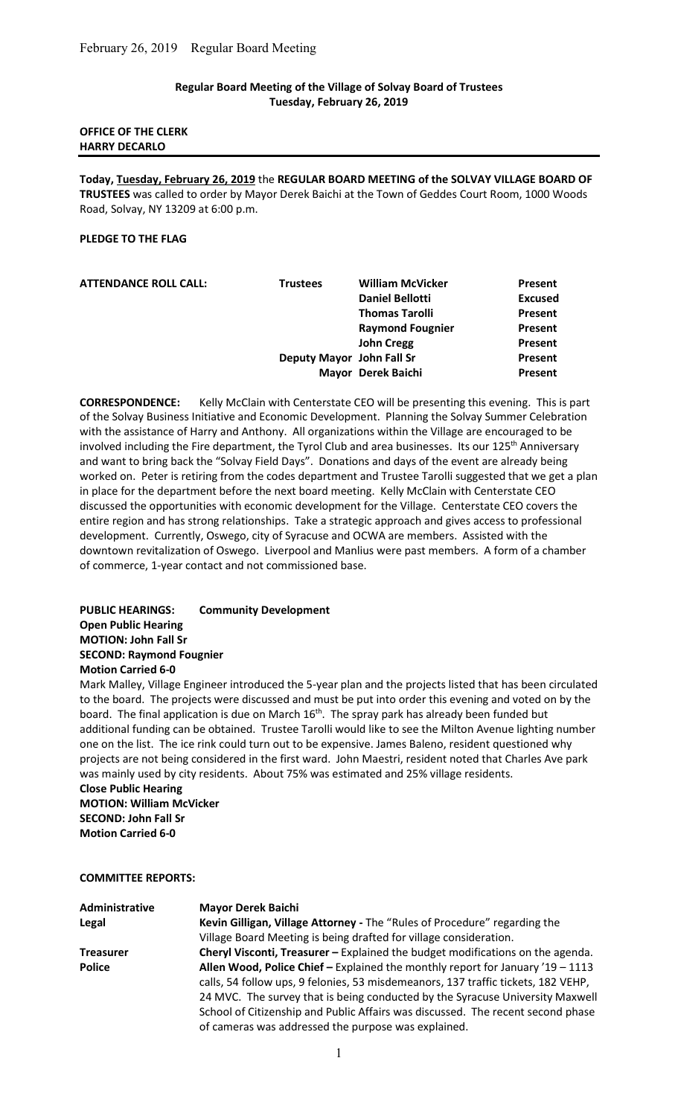### Regular Board Meeting of the Village of Solvay Board of Trustees Tuesday, February 26, 2019

## OFFICE OF THE CLERK HARRY DECARLO

Today, Tuesday, February 26, 2019 the REGULAR BOARD MEETING of the SOLVAY VILLAGE BOARD OF TRUSTEES was called to order by Mayor Derek Baichi at the Town of Geddes Court Room, 1000 Woods Road, Solvay, NY 13209 at 6:00 p.m.

### PLEDGE TO THE FLAG

| <b>ATTENDANCE ROLL CALL:</b> | <b>Trustees</b>           | <b>William McVicker</b> | Present        |
|------------------------------|---------------------------|-------------------------|----------------|
|                              |                           | <b>Daniel Bellotti</b>  | <b>Excused</b> |
|                              |                           | <b>Thomas Tarolli</b>   | Present        |
|                              |                           | <b>Raymond Fougnier</b> | Present        |
|                              |                           | <b>John Cregg</b>       | Present        |
|                              | Deputy Mayor John Fall Sr |                         | Present        |
|                              |                           | Mayor Derek Baichi      | Present        |

CORRESPONDENCE: Kelly McClain with Centerstate CEO will be presenting this evening. This is part of the Solvay Business Initiative and Economic Development. Planning the Solvay Summer Celebration with the assistance of Harry and Anthony. All organizations within the Village are encouraged to be involved including the Fire department, the Tyrol Club and area businesses. Its our 125<sup>th</sup> Anniversary and want to bring back the "Solvay Field Days". Donations and days of the event are already being worked on. Peter is retiring from the codes department and Trustee Tarolli suggested that we get a plan in place for the department before the next board meeting. Kelly McClain with Centerstate CEO discussed the opportunities with economic development for the Village. Centerstate CEO covers the entire region and has strong relationships. Take a strategic approach and gives access to professional development. Currently, Oswego, city of Syracuse and OCWA are members. Assisted with the downtown revitalization of Oswego. Liverpool and Manlius were past members. A form of a chamber of commerce, 1-year contact and not commissioned base.

PUBLIC HEARINGS: Community Development Open Public Hearing MOTION: John Fall Sr SECOND: Raymond Fougnier Motion Carried 6-0

Mark Malley, Village Engineer introduced the 5-year plan and the projects listed that has been circulated to the board. The projects were discussed and must be put into order this evening and voted on by the board. The final application is due on March 16<sup>th</sup>. The spray park has already been funded but additional funding can be obtained. Trustee Tarolli would like to see the Milton Avenue lighting number one on the list. The ice rink could turn out to be expensive. James Baleno, resident questioned why projects are not being considered in the first ward. John Maestri, resident noted that Charles Ave park was mainly used by city residents. About 75% was estimated and 25% village residents.

Close Public Hearing MOTION: William McVicker SECOND: John Fall Sr Motion Carried 6-0

### COMMITTEE REPORTS:

| Administrative   | <b>Mayor Derek Baichi</b>                                                         |
|------------------|-----------------------------------------------------------------------------------|
| Legal            | Kevin Gilligan, Village Attorney - The "Rules of Procedure" regarding the         |
|                  | Village Board Meeting is being drafted for village consideration.                 |
| <b>Treasurer</b> | Cheryl Visconti, Treasurer - Explained the budget modifications on the agenda.    |
| <b>Police</b>    | Allen Wood, Police Chief - Explained the monthly report for January '19 - 1113    |
|                  | calls, 54 follow ups, 9 felonies, 53 misdemeanors, 137 traffic tickets, 182 VEHP, |
|                  | 24 MVC. The survey that is being conducted by the Syracuse University Maxwell     |
|                  | School of Citizenship and Public Affairs was discussed. The recent second phase   |
|                  | of cameras was addressed the purpose was explained.                               |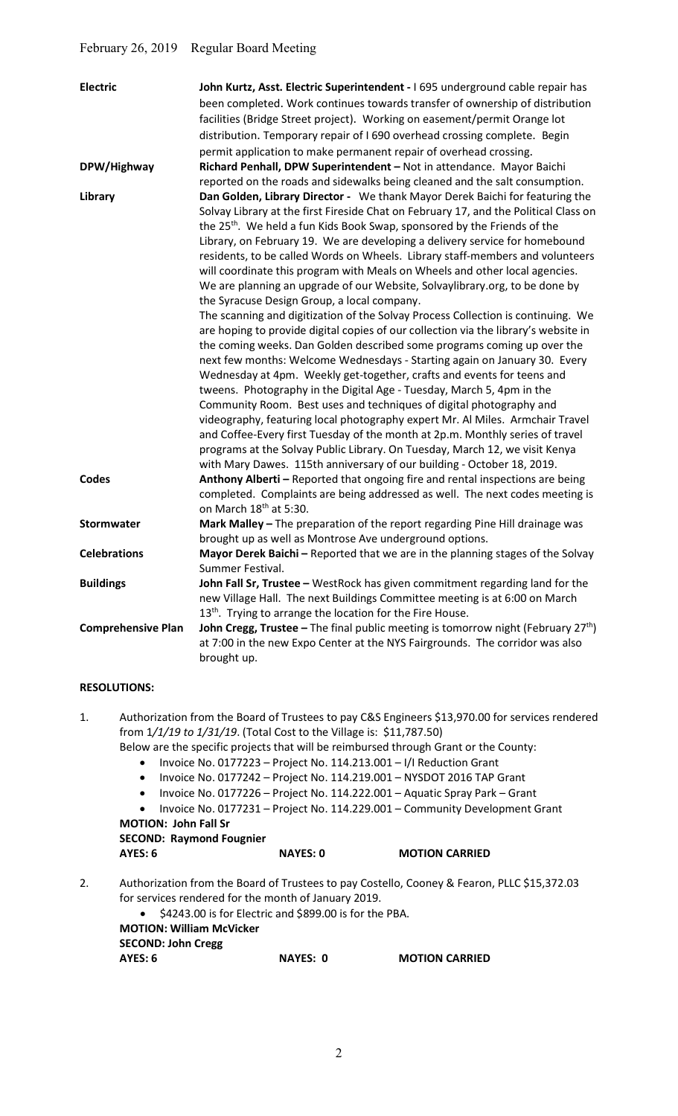| <b>Electric</b>           | John Kurtz, Asst. Electric Superintendent - 1695 underground cable repair has<br>been completed. Work continues towards transfer of ownership of distribution<br>facilities (Bridge Street project). Working on easement/permit Orange lot<br>distribution. Temporary repair of I 690 overhead crossing complete. Begin<br>permit application to make permanent repair of overhead crossing.                                                                                                                                                                                                                                                                                                                                                                                                                                                                                                                                                                                                                                                                                                                                                                                                                                                                                                                                                                                                                                                                                                                                      |
|---------------------------|-----------------------------------------------------------------------------------------------------------------------------------------------------------------------------------------------------------------------------------------------------------------------------------------------------------------------------------------------------------------------------------------------------------------------------------------------------------------------------------------------------------------------------------------------------------------------------------------------------------------------------------------------------------------------------------------------------------------------------------------------------------------------------------------------------------------------------------------------------------------------------------------------------------------------------------------------------------------------------------------------------------------------------------------------------------------------------------------------------------------------------------------------------------------------------------------------------------------------------------------------------------------------------------------------------------------------------------------------------------------------------------------------------------------------------------------------------------------------------------------------------------------------------------|
| DPW/Highway               | Richard Penhall, DPW Superintendent - Not in attendance. Mayor Baichi<br>reported on the roads and sidewalks being cleaned and the salt consumption.                                                                                                                                                                                                                                                                                                                                                                                                                                                                                                                                                                                                                                                                                                                                                                                                                                                                                                                                                                                                                                                                                                                                                                                                                                                                                                                                                                              |
| Library                   | Dan Golden, Library Director - We thank Mayor Derek Baichi for featuring the<br>Solvay Library at the first Fireside Chat on February 17, and the Political Class on<br>the 25 <sup>th</sup> . We held a fun Kids Book Swap, sponsored by the Friends of the<br>Library, on February 19. We are developing a delivery service for homebound<br>residents, to be called Words on Wheels. Library staff-members and volunteers<br>will coordinate this program with Meals on Wheels and other local agencies.<br>We are planning an upgrade of our Website, Solvaylibrary.org, to be done by<br>the Syracuse Design Group, a local company.<br>The scanning and digitization of the Solvay Process Collection is continuing. We<br>are hoping to provide digital copies of our collection via the library's website in<br>the coming weeks. Dan Golden described some programs coming up over the<br>next few months: Welcome Wednesdays - Starting again on January 30. Every<br>Wednesday at 4pm. Weekly get-together, crafts and events for teens and<br>tweens. Photography in the Digital Age - Tuesday, March 5, 4pm in the<br>Community Room. Best uses and techniques of digital photography and<br>videography, featuring local photography expert Mr. Al Miles. Armchair Travel<br>and Coffee-Every first Tuesday of the month at 2p.m. Monthly series of travel<br>programs at the Solvay Public Library. On Tuesday, March 12, we visit Kenya<br>with Mary Dawes. 115th anniversary of our building - October 18, 2019. |
| <b>Codes</b>              | Anthony Alberti - Reported that ongoing fire and rental inspections are being<br>completed. Complaints are being addressed as well. The next codes meeting is<br>on March 18 <sup>th</sup> at 5:30.                                                                                                                                                                                                                                                                                                                                                                                                                                                                                                                                                                                                                                                                                                                                                                                                                                                                                                                                                                                                                                                                                                                                                                                                                                                                                                                               |
| <b>Stormwater</b>         | Mark Malley - The preparation of the report regarding Pine Hill drainage was<br>brought up as well as Montrose Ave underground options.                                                                                                                                                                                                                                                                                                                                                                                                                                                                                                                                                                                                                                                                                                                                                                                                                                                                                                                                                                                                                                                                                                                                                                                                                                                                                                                                                                                           |
| <b>Celebrations</b>       | Mayor Derek Baichi - Reported that we are in the planning stages of the Solvay<br>Summer Festival.                                                                                                                                                                                                                                                                                                                                                                                                                                                                                                                                                                                                                                                                                                                                                                                                                                                                                                                                                                                                                                                                                                                                                                                                                                                                                                                                                                                                                                |
| <b>Buildings</b>          | John Fall Sr, Trustee - WestRock has given commitment regarding land for the<br>new Village Hall. The next Buildings Committee meeting is at 6:00 on March<br>13 <sup>th</sup> . Trying to arrange the location for the Fire House.                                                                                                                                                                                                                                                                                                                                                                                                                                                                                                                                                                                                                                                                                                                                                                                                                                                                                                                                                                                                                                                                                                                                                                                                                                                                                               |
| <b>Comprehensive Plan</b> | <b>John Cregg, Trustee</b> – The final public meeting is tomorrow night (February 27 <sup>th</sup> )<br>at 7:00 in the new Expo Center at the NYS Fairgrounds. The corridor was also<br>brought up.                                                                                                                                                                                                                                                                                                                                                                                                                                                                                                                                                                                                                                                                                                                                                                                                                                                                                                                                                                                                                                                                                                                                                                                                                                                                                                                               |

## RESOLUTIONS:

1. Authorization from the Board of Trustees to pay C&S Engineers \$13,970.00 for services rendered from 1/1/19 to 1/31/19. (Total Cost to the Village is: \$11,787.50)

Below are the specific projects that will be reimbursed through Grant or the County:

- Invoice No. 0177223 Project No. 114.213.001 I/I Reduction Grant
- $\bullet$  Invoice No. 0177242 Project No. 114.219.001 NYSDOT 2016 TAP Grant
- Invoice No. 0177226 Project No. 114.222.001 Aquatic Spray Park Grant
- Invoice No. 0177231 Project No. 114.229.001 Community Development Grant MOTION: John Fall Sr

SECOND: Raymond Fougnier

AYES: 6 NAYES: 0 MOTION CARRIED

- 2. Authorization from the Board of Trustees to pay Costello, Cooney & Fearon, PLLC \$15,372.03 for services rendered for the month of January 2019.
	- $\bullet$  \$4243.00 is for Electric and \$899.00 is for the PBA.

| <b>MOTION: William McVicker</b> |    |
|---------------------------------|----|
| <b>SECOND: John Cregg</b>       |    |
| AYES: 6                         | N, |

AYES: 0 MOTION CARRIED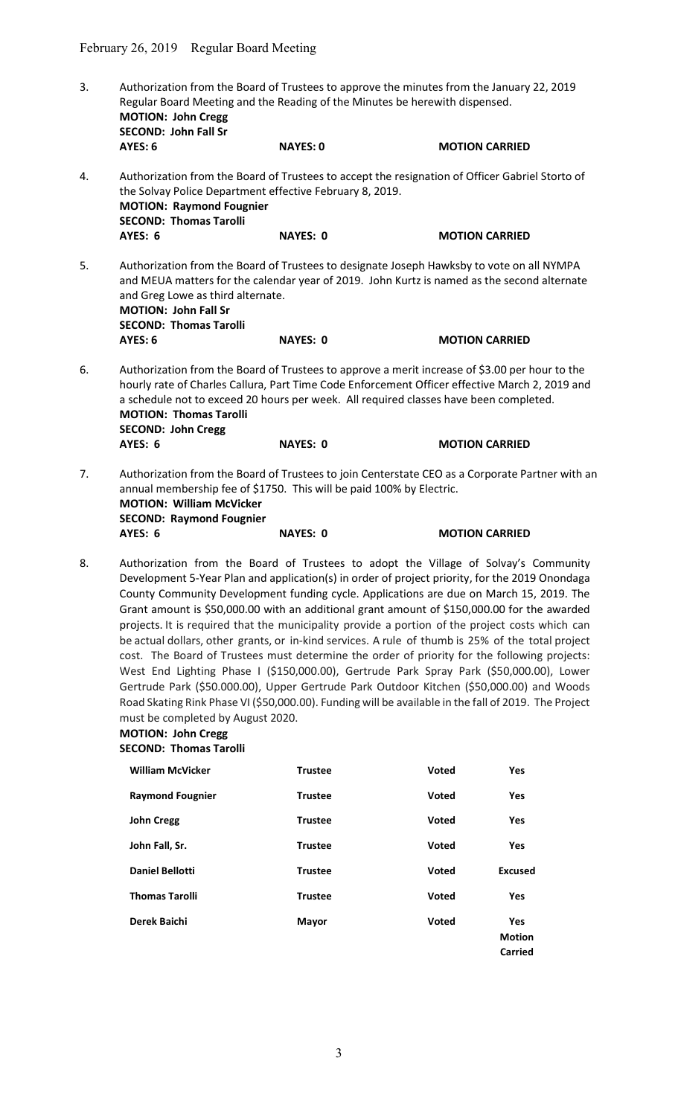- 3. Authorization from the Board of Trustees to approve the minutes from the January 22, 2019 Regular Board Meeting and the Reading of the Minutes be herewith dispensed. MOTION: John Cregg SECOND: John Fall Sr AYES: 6 NAYES: 0 MOTION CARRIED 4. Authorization from the Board of Trustees to accept the resignation of Officer Gabriel Storto of the Solvay Police Department effective February 8, 2019. MOTION: Raymond Fougnier SECOND: Thomas Tarolli<br>AYES: 6 NAYES: 0 MOTION CARRIED 5. Authorization from the Board of Trustees to designate Joseph Hawksby to vote on all NYMPA and MEUA matters for the calendar year of 2019. John Kurtz is named as the second alternate and Greg Lowe as third alternate. MOTION: John Fall Sr SECOND: Thomas Tarolli AYES: 6 NAYES: 0 MOTION CARRIED 6. Authorization from the Board of Trustees to approve a merit increase of \$3.00 per hour to the hourly rate of Charles Callura, Part Time Code Enforcement Officer effective March 2, 2019 and a schedule not to exceed 20 hours per week. All required classes have been completed. MOTION: Thomas Tarolli SECOND: John Cregg AYES: 6 NAYES: 0 MOTION CARRIED 7. Authorization from the Board of Trustees to join Centerstate CEO as a Corporate Partner with an annual membership fee of \$1750. This will be paid 100% by Electric. MOTION: William McVicker SECOND: Raymond Fougnier AYES: 6 NAYES: 0 MOTION CARRIED
- 8. Authorization from the Board of Trustees to adopt the Village of Solvay's Community Development 5-Year Plan and application(s) in order of project priority, for the 2019 Onondaga County Community Development funding cycle. Applications are due on March 15, 2019. The Grant amount is \$50,000.00 with an additional grant amount of \$150,000.00 for the awarded projects. It is required that the municipality provide a portion of the project costs which can be actual dollars, other grants, or in-kind services. A rule of thumb is 25% of the total project cost. The Board of Trustees must determine the order of priority for the following projects: West End Lighting Phase I (\$150,000.00), Gertrude Park Spray Park (\$50,000.00), Lower Gertrude Park (\$50.000.00), Upper Gertrude Park Outdoor Kitchen (\$50,000.00) and Woods Road Skating Rink Phase VI (\$50,000.00). Funding will be available in the fall of 2019. The Project must be completed by August 2020.

# MOTION: John Cregg

# SECOND: Thomas Tarolli

| <b>William McVicker</b> | <b>Trustee</b> | Voted | Yes                  |
|-------------------------|----------------|-------|----------------------|
| <b>Raymond Fougnier</b> | <b>Trustee</b> | Voted | <b>Yes</b>           |
| <b>John Cregg</b>       | <b>Trustee</b> | Voted | Yes                  |
| John Fall, Sr.          | <b>Trustee</b> | Voted | Yes                  |
| <b>Daniel Bellotti</b>  | <b>Trustee</b> | Voted | Excused              |
| <b>Thomas Tarolli</b>   | <b>Trustee</b> | Voted | <b>Yes</b>           |
| Derek Baichi            | <b>Mayor</b>   | Voted | Yes<br><b>Motion</b> |
|                         |                |       | Carried              |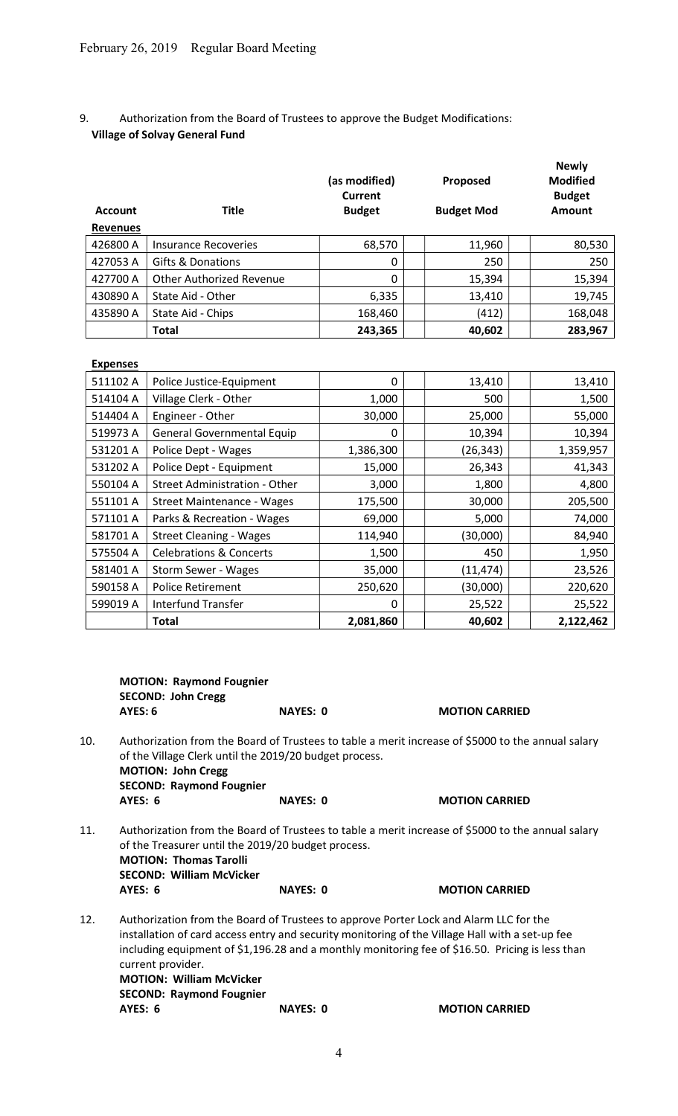9. Authorization from the Board of Trustees to approve the Budget Modifications: Village of Solvay General Fund

| <b>Account</b><br><b>Revenues</b> | <b>Title</b>                    | (as modified)<br>Current<br><b>Budget</b> | Proposed<br><b>Budget Mod</b> | <b>Newly</b><br><b>Modified</b><br><b>Budget</b><br>Amount |
|-----------------------------------|---------------------------------|-------------------------------------------|-------------------------------|------------------------------------------------------------|
| 426800 A                          | Insurance Recoveries            | 68,570                                    | 11,960                        | 80,530                                                     |
| 427053 A                          | Gifts & Donations               | 0                                         | 250                           | 250                                                        |
| 427700 A                          | <b>Other Authorized Revenue</b> | 0                                         | 15,394                        | 15,394                                                     |
| 430890 A                          | State Aid - Other               | 6,335                                     | 13,410                        | 19,745                                                     |
| 435890 A                          | State Aid - Chips               | 168,460                                   | (412)                         | 168,048                                                    |
|                                   | <b>Total</b>                    | 243,365                                   | 40,602                        | 283,967                                                    |

| <b>Expenses</b> |                                    |           |           |           |
|-----------------|------------------------------------|-----------|-----------|-----------|
| 511102 A        | Police Justice-Equipment           | 0         | 13,410    | 13,410    |
| 514104 A        | Village Clerk - Other              | 1,000     | 500       | 1,500     |
| 514404 A        | Engineer - Other                   | 30,000    | 25,000    | 55,000    |
| 519973 A        | <b>General Governmental Equip</b>  | $\Omega$  | 10,394    | 10,394    |
| 531201 A        | Police Dept - Wages                | 1,386,300 | (26, 343) | 1,359,957 |
| 531202 A        | Police Dept - Equipment            | 15,000    | 26,343    | 41,343    |
| 550104 A        | Street Administration - Other      | 3,000     | 1,800     | 4,800     |
| 551101 A        | Street Maintenance - Wages         | 175,500   | 30,000    | 205,500   |
| 571101 A        | Parks & Recreation - Wages         | 69,000    | 5,000     | 74,000    |
| 581701 A        | <b>Street Cleaning - Wages</b>     | 114,940   | (30,000)  | 84,940    |
| 575504 A        | <b>Celebrations &amp; Concerts</b> | 1,500     | 450       | 1,950     |
| 581401 A        | Storm Sewer - Wages                | 35,000    | (11, 474) | 23,526    |
| 590158 A        | <b>Police Retirement</b>           | 250,620   | (30,000)  | 220,620   |
| 599019 A        | Interfund Transfer                 | 0         | 25,522    | 25,522    |
|                 | <b>Total</b>                       | 2,081,860 | 40,602    | 2,122,462 |

|     | <b>MOTION: Raymond Fougnier</b><br><b>SECOND: John Cregg</b>                            |                                                        |                                                                                                                                                                                                                                                                                             |
|-----|-----------------------------------------------------------------------------------------|--------------------------------------------------------|---------------------------------------------------------------------------------------------------------------------------------------------------------------------------------------------------------------------------------------------------------------------------------------------|
|     | <b>AYES: 6</b>                                                                          | <b>NAYES: 0</b>                                        | <b>MOTION CARRIED</b>                                                                                                                                                                                                                                                                       |
| 10. | <b>MOTION: John Cregg</b><br><b>SECOND: Raymond Fougnier</b>                            | of the Village Clerk until the 2019/20 budget process. | Authorization from the Board of Trustees to table a merit increase of \$5000 to the annual salary                                                                                                                                                                                           |
|     | AYES: 6                                                                                 | <b>NAYES: 0</b>                                        | <b>MOTION CARRIED</b>                                                                                                                                                                                                                                                                       |
| 11. | <b>MOTION: Thomas Tarolli</b><br><b>SECOND: William McVicker</b>                        | of the Treasurer until the 2019/20 budget process.     | Authorization from the Board of Trustees to table a merit increase of \$5000 to the annual salary                                                                                                                                                                                           |
|     | AYES: 6                                                                                 | <b>NAYES: 0</b>                                        | <b>MOTION CARRIED</b>                                                                                                                                                                                                                                                                       |
| 12. | current provider.<br><b>MOTION: William McVicker</b><br><b>SECOND: Raymond Fougnier</b> |                                                        | Authorization from the Board of Trustees to approve Porter Lock and Alarm LLC for the<br>installation of card access entry and security monitoring of the Village Hall with a set-up fee<br>including equipment of \$1,196.28 and a monthly monitoring fee of \$16.50. Pricing is less than |
|     | AYES: 6                                                                                 | <b>NAYES: 0</b>                                        | <b>MOTION CARRIED</b>                                                                                                                                                                                                                                                                       |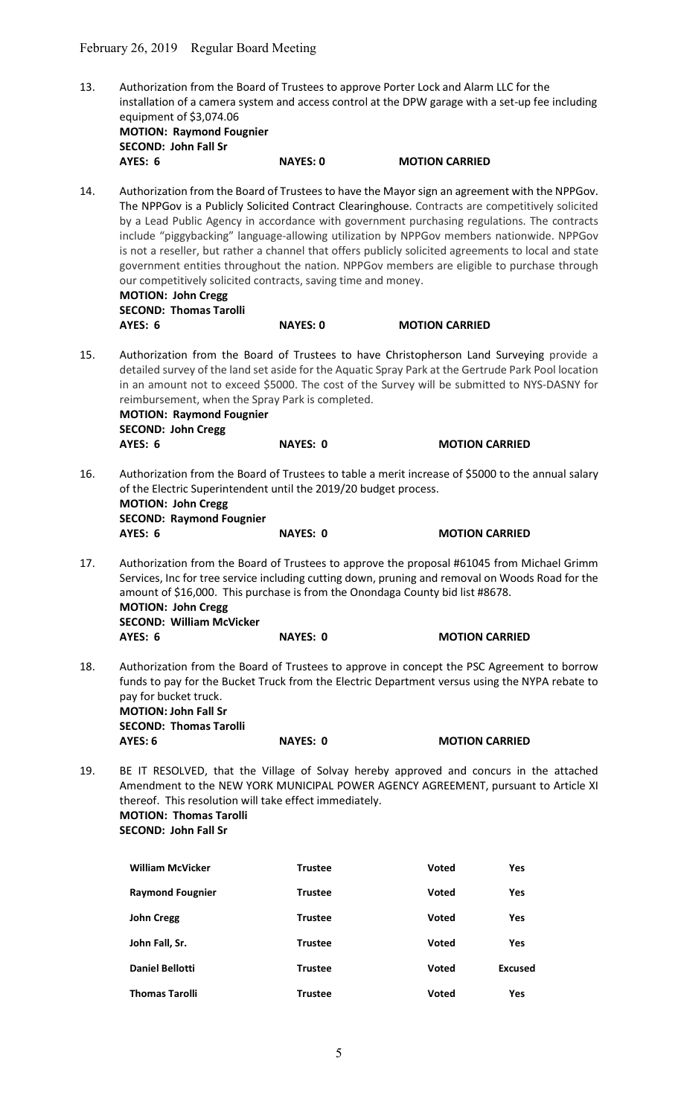| 13. |                                 |                 | Authorization from the Board of Trustees to approve Porter Lock and Alarm LLC for the            |  |
|-----|---------------------------------|-----------------|--------------------------------------------------------------------------------------------------|--|
|     |                                 |                 | installation of a camera system and access control at the DPW garage with a set-up fee including |  |
|     | equipment of \$3,074.06         |                 |                                                                                                  |  |
|     | <b>MOTION: Raymond Fougnier</b> |                 |                                                                                                  |  |
|     | <b>SECOND: John Fall Sr</b>     |                 |                                                                                                  |  |
|     | AYES: 6                         | <b>NAYES: 0</b> | <b>MOTION CARRIED</b>                                                                            |  |
| 11  |                                 |                 | Authorization from the Board of Trustees to have the Mayor sign an agreement with the NDDCou     |  |

14. Authorization from the Board of Trustees to have the Mayor sign an agreement with the NPPGov. The NPPGov is a Publicly Solicited Contract Clearinghouse. Contracts are competitively solicited by a Lead Public Agency in accordance with government purchasing regulations. The contracts include "piggybacking" language-allowing utilization by NPPGov members nationwide. NPPGov is not a reseller, but rather a channel that offers publicly solicited agreements to local and state government entities throughout the nation. NPPGov members are eligible to purchase through our competitively solicited contracts, saving time and money. MOTION: John Cregg SECOND: Thomas Tarolli AYES: 6 NAYES: 0 MOTION CARRIED 15. Authorization from the Board of Trustees to have Christopherson Land Surveying provide a detailed survey of the land set aside for the Aquatic Spray Park at the Gertrude Park Pool location in an amount not to exceed \$5000. The cost of the Survey will be submitted to NYS-DASNY for reimbursement, when the Spray Park is completed. MOTION: Raymond Fougnier SECOND: John Cregg

AYES: 6 NAYES: 0 MOTION CARRIED

16. Authorization from the Board of Trustees to table a merit increase of \$5000 to the annual salary of the Electric Superintendent until the 2019/20 budget process. MOTION: John Cregg SECOND: Raymond Fougnier

AYES: 6 NAYES: 0 MOTION CARRIED

- 17. Authorization from the Board of Trustees to approve the proposal #61045 from Michael Grimm Services, Inc for tree service including cutting down, pruning and removal on Woods Road for the amount of \$16,000. This purchase is from the Onondaga County bid list #8678. MOTION: John Cregg SECOND: William McVicker AYES: 6 NAYES: 0 MOTION CARRIED
- 18. Authorization from the Board of Trustees to approve in concept the PSC Agreement to borrow funds to pay for the Bucket Truck from the Electric Department versus using the NYPA rebate to pay for bucket truck. MOTION: John Fall Sr SECOND: Thomas Tarolli AYES: 6 NAYES: 0 MOTION CARRIED
- 19. BE IT RESOLVED, that the Village of Solvay hereby approved and concurs in the attached Amendment to the NEW YORK MUNICIPAL POWER AGENCY AGREEMENT, pursuant to Article XI thereof. This resolution will take effect immediately. MOTION: Thomas Tarolli SECOND: John Fall Sr

| <b>William McVicker</b> | <b>Trustee</b> | Voted        | Yes            |
|-------------------------|----------------|--------------|----------------|
| <b>Raymond Fougnier</b> | <b>Trustee</b> | Voted        | Yes            |
| <b>John Cregg</b>       | <b>Trustee</b> | Voted        | Yes            |
| John Fall, Sr.          | <b>Trustee</b> | Voted        | Yes            |
| <b>Daniel Bellotti</b>  | <b>Trustee</b> | Voted        | <b>Excused</b> |
| <b>Thomas Tarolli</b>   | <b>Trustee</b> | <b>Voted</b> | Yes            |